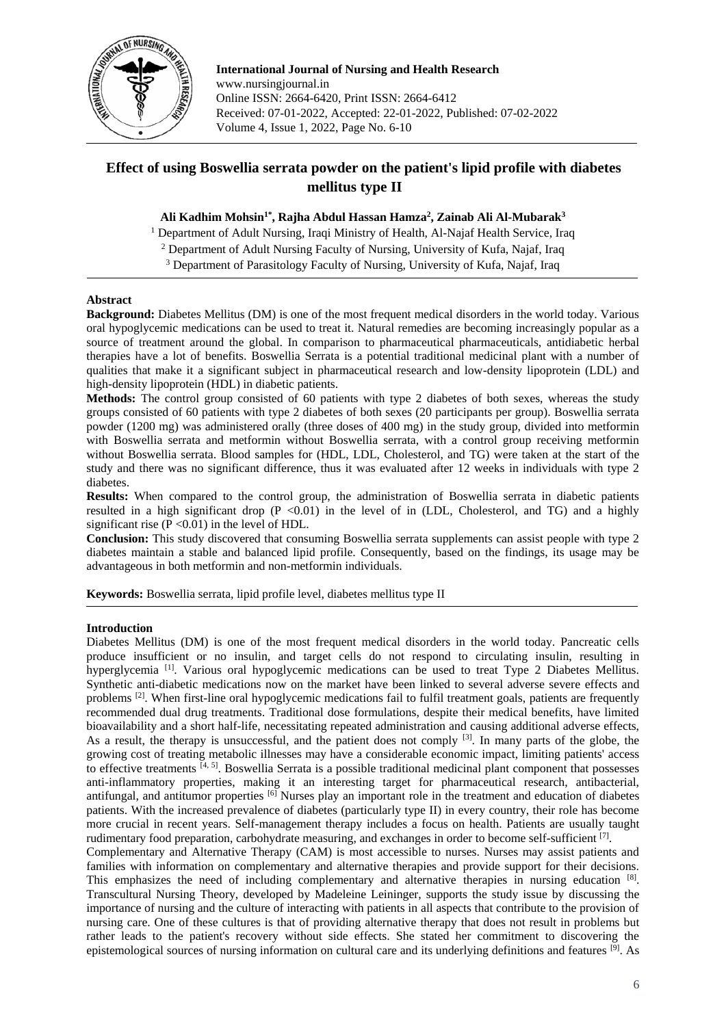

**International Journal of Nursing and Health Research** www.nursingjournal.in Online ISSN: 2664-6420, Print ISSN: 2664-6412 Received: 07-01-2022, Accepted: 22-01-2022, Published: 07-02-2022 Volume 4, Issue 1, 2022, Page No. 6-10

# **Effect of using Boswellia serrata powder on the patient's lipid profile with diabetes mellitus type II**

# **Ali Kadhim Mohsin1\*, Rajha Abdul Hassan Hamza<sup>2</sup> , Zainab Ali Al-Mubarak<sup>3</sup>**

<sup>1</sup> Department of Adult Nursing, Iraqi Ministry of Health, Al-Najaf Health Service, Iraq

<sup>2</sup> Department of Adult Nursing Faculty of Nursing, University of Kufa, Najaf, Iraq

<sup>3</sup> Department of Parasitology Faculty of Nursing, University of Kufa, Najaf, Iraq

### **Abstract**

**Background:** Diabetes Mellitus (DM) is one of the most frequent medical disorders in the world today. Various oral hypoglycemic medications can be used to treat it. Natural remedies are becoming increasingly popular as a source of treatment around the global. In comparison to pharmaceutical pharmaceuticals, antidiabetic herbal therapies have a lot of benefits. Boswellia Serrata is a potential traditional medicinal plant with a number of qualities that make it a significant subject in pharmaceutical research and low-density lipoprotein (LDL) and high-density lipoprotein (HDL) in diabetic patients.

**Methods:** The control group consisted of 60 patients with type 2 diabetes of both sexes, whereas the study groups consisted of 60 patients with type 2 diabetes of both sexes (20 participants per group). Boswellia serrata powder (1200 mg) was administered orally (three doses of 400 mg) in the study group, divided into metformin with Boswellia serrata and metformin without Boswellia serrata, with a control group receiving metformin without Boswellia serrata. Blood samples for (HDL, LDL, Cholesterol, and TG) were taken at the start of the study and there was no significant difference, thus it was evaluated after 12 weeks in individuals with type 2 diabetes.

**Results:** When compared to the control group, the administration of Boswellia serrata in diabetic patients resulted in a high significant drop  $(P \le 0.01)$  in the level of in (LDL, Cholesterol, and TG) and a highly significant rise  $(P \le 0.01)$  in the level of HDL.

**Conclusion:** This study discovered that consuming Boswellia serrata supplements can assist people with type 2 diabetes maintain a stable and balanced lipid profile. Consequently, based on the findings, its usage may be advantageous in both metformin and non-metformin individuals.

**Keywords:** Boswellia serrata, lipid profile level, diabetes mellitus type II

### **Introduction**

Diabetes Mellitus (DM) is one of the most frequent medical disorders in the world today. Pancreatic cells produce insufficient or no insulin, and target cells do not respond to circulating insulin, resulting in hyperglycemia<sup>[1]</sup>. Various oral hypoglycemic medications can be used to treat Type 2 Diabetes Mellitus. Synthetic anti-diabetic medications now on the market have been linked to several adverse severe effects and problems<sup>[2]</sup>. When first-line oral hypoglycemic medications fail to fulfil treatment goals, patients are frequently recommended dual drug treatments. Traditional dose formulations, despite their medical benefits, have limited bioavailability and a short half-life, necessitating repeated administration and causing additional adverse effects, As a result, the therapy is unsuccessful, and the patient does not comply <sup>[3]</sup>. In many parts of the globe, the growing cost of treating metabolic illnesses may have a considerable economic impact, limiting patients' access to effective treatments  $[4, 5]$ . Boswellia Serrata is a possible traditional medicinal plant component that possesses anti-inflammatory properties, making it an interesting target for pharmaceutical research, antibacterial, antifungal, and antitumor properties  $\frac{6}{10}$  Nurses play an important role in the treatment and education of diabetes patients. With the increased prevalence of diabetes (particularly type II) in every country, their role has become more crucial in recent years. Self-management therapy includes a focus on health. Patients are usually taught rudimentary food preparation, carbohydrate measuring, and exchanges in order to become self-sufficient [7].

Complementary and Alternative Therapy (CAM) is most accessible to nurses. Nurses may assist patients and families with information on complementary and alternative therapies and provide support for their decisions. This emphasizes the need of including complementary and alternative therapies in nursing education [8]. Transcultural Nursing Theory, developed by Madeleine Leininger, supports the study issue by discussing the importance of nursing and the culture of interacting with patients in all aspects that contribute to the provision of nursing care. One of these cultures is that of providing alternative therapy that does not result in problems but rather leads to the patient's recovery without side effects. She stated her commitment to discovering the epistemological sources of nursing information on cultural care and its underlying definitions and features [9]. As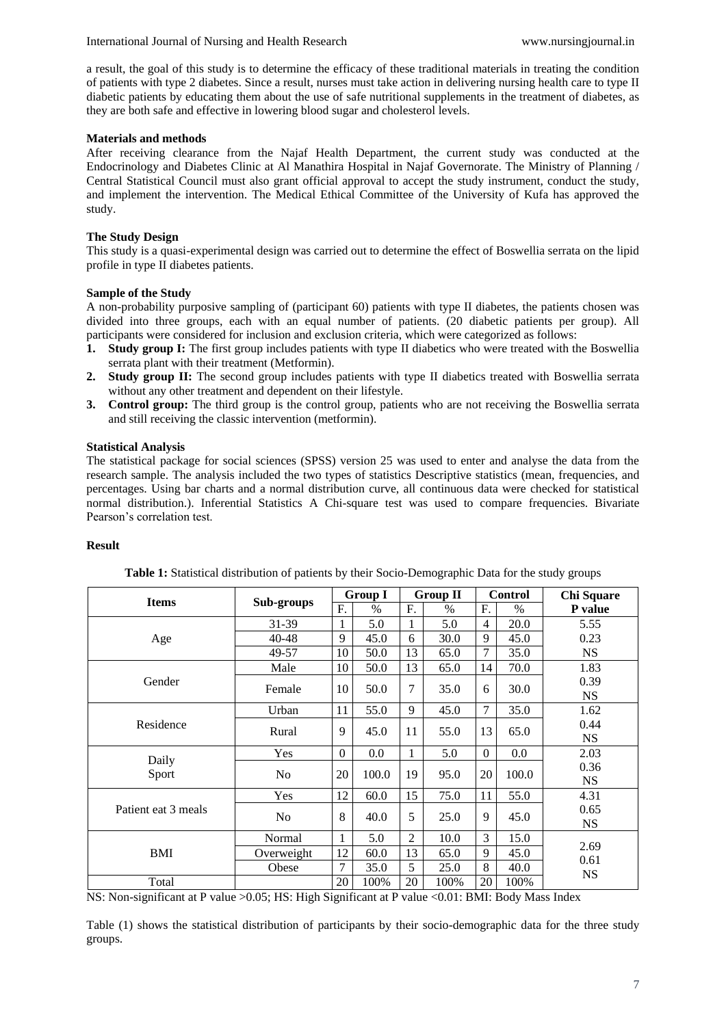a result, the goal of this study is to determine the efficacy of these traditional materials in treating the condition of patients with type 2 diabetes. Since a result, nurses must take action in delivering nursing health care to type II diabetic patients by educating them about the use of safe nutritional supplements in the treatment of diabetes, as they are both safe and effective in lowering blood sugar and cholesterol levels.

### **Materials and methods**

After receiving clearance from the Najaf Health Department, the current study was conducted at the Endocrinology and Diabetes Clinic at Al Manathira Hospital in Najaf Governorate. The Ministry of Planning / Central Statistical Council must also grant official approval to accept the study instrument, conduct the study, and implement the intervention. The Medical Ethical Committee of the University of Kufa has approved the study.

# **The Study Design**

This study is a quasi-experimental design was carried out to determine the effect of Boswellia serrata on the lipid profile in type II diabetes patients.

### **Sample of the Study**

A non-probability purposive sampling of (participant 60) patients with type II diabetes, the patients chosen was divided into three groups, each with an equal number of patients. (20 diabetic patients per group). All participants were considered for inclusion and exclusion criteria, which were categorized as follows:

- **1. Study group I:** The first group includes patients with type II diabetics who were treated with the Boswellia serrata plant with their treatment (Metformin).
- **2. Study group II:** The second group includes patients with type II diabetics treated with Boswellia serrata without any other treatment and dependent on their lifestyle.
- **3. Control group:** The third group is the control group, patients who are not receiving the Boswellia serrata and still receiving the classic intervention (metformin).

# **Statistical Analysis**

The statistical package for social sciences (SPSS) version 25 was used to enter and analyse the data from the research sample. The analysis included the two types of statistics Descriptive statistics (mean, frequencies, and percentages. Using bar charts and a normal distribution curve, all continuous data were checked for statistical normal distribution.). Inferential Statistics A Chi-square test was used to compare frequencies. Bivariate Pearson's correlation test.

### **Result**

| <b>Items</b>        |            |          | <b>Group I</b> |                | <b>Group II</b> |                  | <b>Control</b> | <b>Chi Square</b> |
|---------------------|------------|----------|----------------|----------------|-----------------|------------------|----------------|-------------------|
|                     | Sub-groups | F.       | $\%$           | F.             | $\%$            | F.               | $\frac{0}{0}$  | P value           |
|                     | 31-39      | 1        | 5.0            | 1              | 5.0             | $\overline{4}$   | 20.0           | 5.55              |
| Age                 | 40-48      | 9        | 45.0           | 6              | 30.0            | 9                | 45.0           | 0.23              |
|                     | 49-57      | 10       | 50.0           | 13             | 65.0            | 7                | 35.0           | <b>NS</b>         |
|                     | Male       | 10       | 50.0           | 13             | 65.0            | 14               | 70.0           | 1.83              |
| Gender              | Female     | 10       | 50.0           | 7              | 35.0            | 6                | 30.0           | 0.39              |
|                     |            |          |                |                |                 |                  |                | <b>NS</b>         |
| Residence           | Urban      | 11       | 55.0           | 9              | 45.0            | 7                | 35.0           | 1.62              |
|                     | Rural      | 9        | 45.0           | 11             | 55.0            | 13               | 65.0           | 0.44              |
|                     |            |          |                |                |                 |                  |                | <b>NS</b>         |
| Daily<br>Sport      | Yes        | $\theta$ | 0.0            | 1              | 5.0             | $\boldsymbol{0}$ | $0.0\,$        | 2.03              |
|                     | No         | 20       | 100.0          | 19             | 95.0            | 20               | 100.0          | 0.36              |
|                     |            |          |                |                |                 |                  |                | <b>NS</b>         |
| Patient eat 3 meals | Yes        | 12       | 60.0           | 15             | 75.0            | 11               | 55.0           | 4.31              |
|                     | No         | 8        | 40.0           | 5              | 25.0            | 9                | 45.0           | 0.65              |
|                     |            |          |                |                |                 |                  |                | <b>NS</b>         |
| BMI                 | Normal     | 1        | 5.0            | $\overline{2}$ | 10.0            | 3                | 15.0           | 2.69              |
|                     | Overweight | 12       | 60.0           | 13             | 65.0            | 9                | 45.0           | 0.61              |
|                     | Obese      | 7        | 35.0           | 5              | 25.0            | 8                | 40.0           | <b>NS</b>         |
| Total               |            | 20       | 100%           | 20             | 100%            | 20               | 100%           |                   |

**Table 1:** Statistical distribution of patients by their Socio-Demographic Data for the study groups

NS: Non-significant at P value >0.05; HS: High Significant at P value <0.01: BMI: Body Mass Index

Table (1) shows the statistical distribution of participants by their socio-demographic data for the three study groups.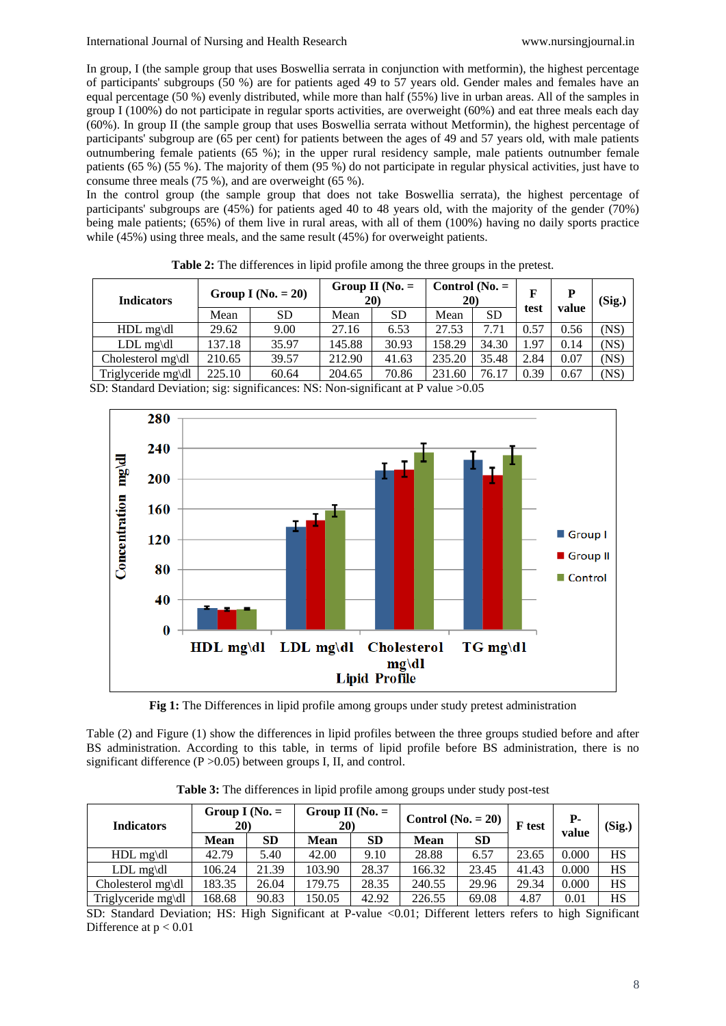In group, I (the sample group that uses Boswellia serrata in conjunction with metformin), the highest percentage of participants' subgroups (50 %) are for patients aged 49 to 57 years old. Gender males and females have an equal percentage (50 %) evenly distributed, while more than half (55%) live in urban areas. All of the samples in group I (100%) do not participate in regular sports activities, are overweight (60%) and eat three meals each day (60%). In group II (the sample group that uses Boswellia serrata without Metformin), the highest percentage of participants' subgroup are (65 per cent) for patients between the ages of 49 and 57 years old, with male patients outnumbering female patients (65 %); in the upper rural residency sample, male patients outnumber female patients (65 %) (55 %). The majority of them (95 %) do not participate in regular physical activities, just have to consume three meals (75 %), and are overweight (65 %).

In the control group (the sample group that does not take Boswellia serrata), the highest percentage of participants' subgroups are (45%) for patients aged 40 to 48 years old, with the majority of the gender (70%) being male patients; (65%) of them live in rural areas, with all of them (100%) having no daily sports practice while (45%) using three meals, and the same result (45%) for overweight patients.

| <b>Indicators</b>  | Group I ( $No. = 20$ ) |       | Group II ( $No. =$<br>20) |           | Control ( $No. =$<br>20) |           |      | P     | (Sig.) |
|--------------------|------------------------|-------|---------------------------|-----------|--------------------------|-----------|------|-------|--------|
|                    | Mean                   | SD    | Mean                      | <b>SD</b> | Mean                     | <b>SD</b> | test | value |        |
| $HDL$ mg\dl        | 29.62                  | 9.00  | 27.16                     | 6.53      | 27.53                    | 7.71      | 0.57 | 0.56  | (NS)   |
| $LDL$ mg\dl        | 137.18                 | 35.97 | 145.88                    | 30.93     | 158.29                   | 34.30     | 1.97 | 0.14  | (NS)   |
| Cholesterol mg\dl  | 210.65                 | 39.57 | 212.90                    | 41.63     | 235.20                   | 35.48     | 2.84 | 0.07  | (NS)   |
| Triglyceride mg\dl | 225.10                 | 60.64 | 204.65                    | 70.86     | 231.60                   | 76.17     | 0.39 | 0.67  | (NS)   |

**Table 2:** The differences in lipid profile among the three groups in the pretest.

SD: Standard Deviation; sig: significances: NS: Non-significant at P value >0.05



**Fig 1:** The Differences in lipid profile among groups under study pretest administration

Table (2) and Figure (1) show the differences in lipid profiles between the three groups studied before and after BS administration. According to this table, in terms of lipid profile before BS administration, there is no significant difference  $(P > 0.05)$  between groups I, II, and control.

| <b>Indicators</b>  | Group I ( $No. =$<br><b>20</b> |           | Group II ( $No. =$<br>20) |           | Control ( $No. = 20$ ) |           | F test | $P-$  | (Sig.)    |
|--------------------|--------------------------------|-----------|---------------------------|-----------|------------------------|-----------|--------|-------|-----------|
|                    | <b>Mean</b>                    | <b>SD</b> | <b>Mean</b>               | <b>SD</b> | <b>Mean</b>            | <b>SD</b> |        | value |           |
| HDL mg\dl          | 42.79                          | 5.40      | 42.00                     | 9.10      | 28.88                  | 6.57      | 23.65  | 0.000 | HS        |
| $LDL$ mg\dl        | 106.24                         | 21.39     | 103.90                    | 28.37     | 166.32                 | 23.45     | 41.43  | 0.000 | HS        |
| Cholesterol mg\dl  | 183.35                         | 26.04     | 179.75                    | 28.35     | 240.55                 | 29.96     | 29.34  | 0.000 | HS        |
| Triglyceride mg\dl | 168.68                         | 90.83     | 150.05                    | 42.92     | 226.55                 | 69.08     | 4.87   | 0.01  | <b>HS</b> |

**Table 3:** The differences in lipid profile among groups under study post-test

SD: Standard Deviation; HS: High Significant at P-value <0.01; Different letters refers to high Significant Difference at  $p < 0.01$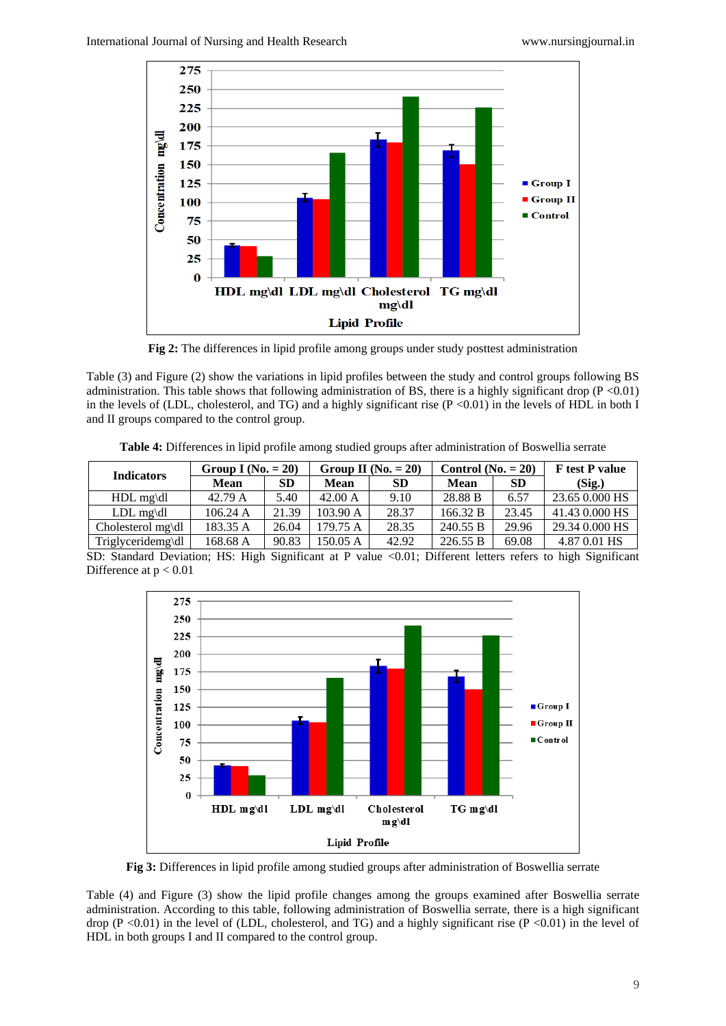

**Fig 2:** The differences in lipid profile among groups under study posttest administration

Table (3) and Figure (2) show the variations in lipid profiles between the study and control groups following BS administration. This table shows that following administration of BS, there is a highly significant drop ( $P < 0.01$ ) in the levels of (LDL, cholesterol, and TG) and a highly significant rise  $(P < 0.01)$  in the levels of HDL in both I and II groups compared to the control group.

**Table 4:** Differences in lipid profile among studied groups after administration of Boswellia serrate

| <b>Indicators</b> | Group I (No. $= 20$ ) |       |          | Group II (No. $= 20$ ) | Control ( $No. = 20$ ) |           | <b>F</b> test <b>P</b> value |
|-------------------|-----------------------|-------|----------|------------------------|------------------------|-----------|------------------------------|
|                   | Mean                  | SD    | Mean     | <b>SD</b>              | Mean                   | <b>SD</b> | (Sig.)                       |
| $HDL$ mg\dl       | 42.79 A               | 5.40  | 42.00 A  | 9.10                   | 28.88 B                | 6.57      | 23.65 0.000 HS               |
| $LDL$ mg\dl       | 106.24 A              | 21.39 | 103.90 A | 28.37                  | 166.32 B               | 23.45     | 41.43 0.000 HS               |
| Cholesterol mg\dl | 183.35 A              | 26.04 | 179.75 A | 28.35                  | 240.55 B               | 29.96     | 29.34 0.000 HS               |
| Triglyceridemg\dl | 168.68 A              | 90.83 | 150.05 A | 42.92                  | 226.55 B               | 69.08     | 4.87 0.01 HS                 |

SD: Standard Deviation; HS: High Significant at P value <0.01; Different letters refers to high Significant Difference at  $p < 0.01$ 



**Fig 3:** Differences in lipid profile among studied groups after administration of Boswellia serrate

Table (4) and Figure (3) show the lipid profile changes among the groups examined after Boswellia serrate administration. According to this table, following administration of Boswellia serrate, there is a high significant drop (P <0.01) in the level of (LDL, cholesterol, and TG) and a highly significant rise (P <0.01) in the level of HDL in both groups I and II compared to the control group.